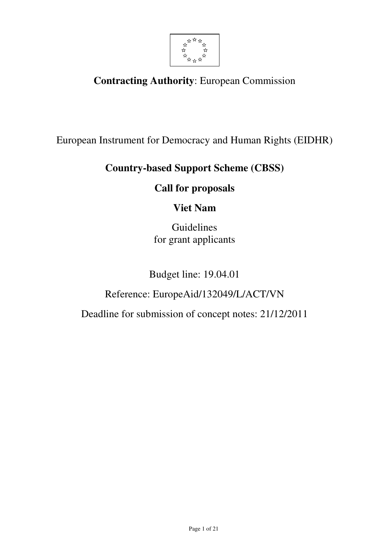

# **Contracting Authority**: European Commission

European Instrument for Democracy and Human Rights (EIDHR)

# **Country-based Support Scheme (CBSS)**

## **Call for proposals**

## **Viet Nam**

Guidelines for grant applicants

Budget line: 19.04.01

# Reference: EuropeAid/132049/L/ACT/VN

Deadline for submission of concept notes: 21/12/2011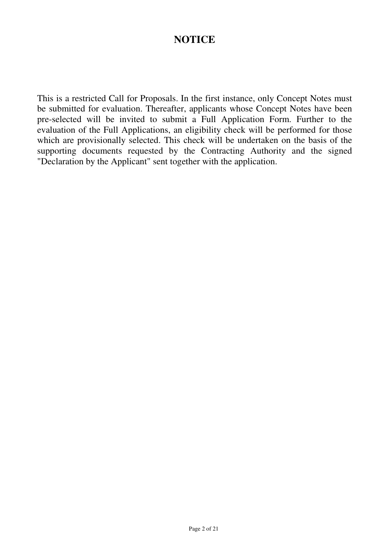## **NOTICE**

This is a restricted Call for Proposals. In the first instance, only Concept Notes must be submitted for evaluation. Thereafter, applicants whose Concept Notes have been pre-selected will be invited to submit a Full Application Form. Further to the evaluation of the Full Applications, an eligibility check will be performed for those which are provisionally selected. This check will be undertaken on the basis of the supporting documents requested by the Contracting Authority and the signed "Declaration by the Applicant" sent together with the application.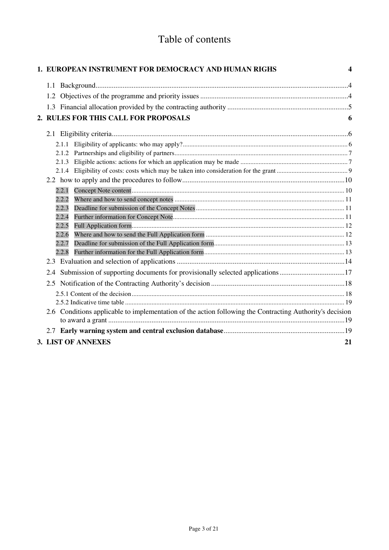# Table of contents

|       | 1. EUROPEAN INSTRUMENT FOR DEMOCRACY AND HUMAN RIGHS                                                     | 4  |
|-------|----------------------------------------------------------------------------------------------------------|----|
|       |                                                                                                          |    |
|       |                                                                                                          |    |
|       |                                                                                                          |    |
|       | 2. RULES FOR THIS CALL FOR PROPOSALS                                                                     | 6  |
|       |                                                                                                          |    |
|       |                                                                                                          |    |
|       |                                                                                                          |    |
| 2.1.2 |                                                                                                          |    |
| 2.1.3 |                                                                                                          |    |
| 2.1.4 |                                                                                                          |    |
|       |                                                                                                          |    |
| 2.2.1 |                                                                                                          |    |
| 2.2.2 |                                                                                                          |    |
| 2.2.3 |                                                                                                          |    |
| 2.2.4 |                                                                                                          |    |
| 2.2.5 |                                                                                                          |    |
| 2.2.6 |                                                                                                          |    |
| 2.2.7 |                                                                                                          |    |
| 2.2.8 |                                                                                                          |    |
|       |                                                                                                          |    |
| 2.4   | Submission of supporting documents for provisionally selected applications17                             |    |
|       |                                                                                                          |    |
|       |                                                                                                          |    |
|       |                                                                                                          |    |
|       | 2.6 Conditions applicable to implementation of the action following the Contracting Authority's decision |    |
|       |                                                                                                          |    |
|       |                                                                                                          |    |
|       | 3. LIST OF ANNEXES                                                                                       | 21 |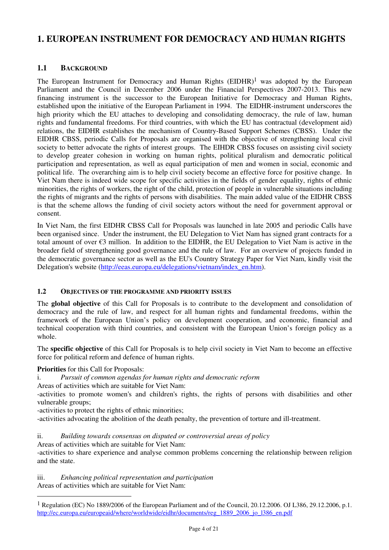## **1. EUROPEAN INSTRUMENT FOR DEMOCRACY AND HUMAN RIGHTS**

## **1.1 BACKGROUND**

The European Instrument for Democracy and Human Rights  $(EIDHR)^1$  was adopted by the European Parliament and the Council in December 2006 under the Financial Perspectives 2007-2013. This new financing instrument is the successor to the European Initiative for Democracy and Human Rights, established upon the initiative of the European Parliament in 1994. The EIDHR-instrument underscores the high priority which the EU attaches to developing and consolidating democracy, the rule of law, human rights and fundamental freedoms. For third countries, with which the EU has contractual (development aid) relations, the EIDHR establishes the mechanism of Country-Based Support Schemes (CBSS). Under the EIDHR CBSS, periodic Calls for Proposals are organised with the objective of strengthening local civil society to better advocate the rights of interest groups. The EIHDR CBSS focuses on assisting civil society to develop greater cohesion in working on human rights, political pluralism and democratic political participation and representation, as well as equal participation of men and women in social, economic and political life. The overarching aim is to help civil society become an effective force for positive change. In Viet Nam there is indeed wide scope for specific activities in the fields of gender equality, rights of ethnic minorities, the rights of workers, the right of the child, protection of people in vulnerable situations including the rights of migrants and the rights of persons with disabilities. The main added value of the EIDHR CBSS is that the scheme allows the funding of civil society actors without the need for government approval or consent.

In Viet Nam, the first EIDHR CBSS Call for Proposals was launched in late 2005 and periodic Calls have been organised since. Under the instrument, the EU Delegation to Viet Nam has signed grant contracts for a total amount of over €3 million. In addition to the EIDHR, the EU Delegation to Viet Nam is active in the broader field of strengthening good governance and the rule of law. For an overview of projects funded in the democratic governance sector as well as the EU's Country Strategy Paper for Viet Nam, kindly visit the Delegation's website (http://eeas.europa.eu/delegations/vietnam/index\_en.htm).

## **1.2 OBJECTIVES OF THE PROGRAMME AND PRIORITY ISSUES**

The **global objective** of this Call for Proposals is to contribute to the development and consolidation of democracy and the rule of law, and respect for all human rights and fundamental freedoms, within the framework of the European Union's policy on development cooperation, and economic, financial and technical cooperation with third countries, and consistent with the European Union's foreign policy as a whole.

The **specific objective** of this Call for Proposals is to help civil society in Viet Nam to become an effective force for political reform and defence of human rights.

**Priorities** for this Call for Proposals:

 $\overline{a}$ 

- i. *Pursuit of common agendas for human rights and democratic reform*
- Areas of activities which are suitable for Viet Nam:

-activities to promote women's and children's rights, the rights of persons with disabilities and other vulnerable groups;

- -activities to protect the rights of ethnic minorities;
- -activities advocating the abolition of the death penalty, the prevention of torture and ill-treatment.

## ii. *Building towards consensus on disputed or controversial areas of policy*

Areas of activities which are suitable for Viet Nam:

-activities to share experience and analyse common problems concerning the relationship between religion and the state.

iii. *Enhancing political representation and participation*  Areas of activities which are suitable for Viet Nam:

<sup>&</sup>lt;sup>1</sup> Regulation (EC) No 1889/2006 of the European Parliament and of the Council, 20.12.2006. OJ L386, 29.12.2006, p.1. http://ec.europa.eu/europeaid/where/worldwide/eidhr/documents/reg\_1889\_2006\_jo\_l386\_en.pdf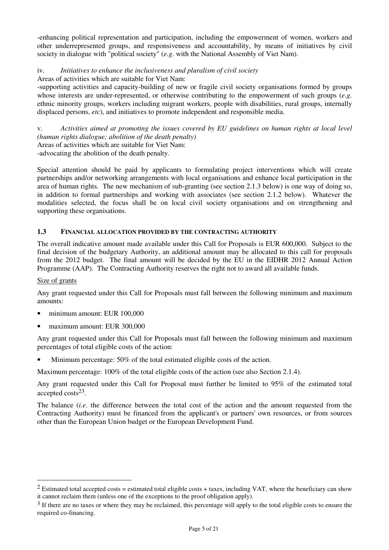-enhancing political representation and participation, including the empowerment of women, workers and other underrepresented groups, and responsiveness and accountability, by means of initiatives by civil society in dialogue with "political society" (*e.g*. with the National Assembly of Viet Nam).

iv. *Initiatives to enhance the inclusiveness and pluralism of civil society*

Areas of activities which are suitable for Viet Nam:

-supporting activities and capacity-building of new or fragile civil society organisations formed by groups whose interests are under-represented, or otherwise contributing to the empowerment of such groups (*e.g.* ethnic minority groups, workers including migrant workers, people with disabilities, rural groups, internally displaced persons, *etc*), and initiatives to promote independent and responsible media.

v. *Activities aimed at promoting the issues covered by EU guidelines on human rights at local level (human rights dialogue; abolition of the death penalty)*

Areas of activities which are suitable for Viet Nam:

-advocating the abolition of the death penalty.

Special attention should be paid by applicants to formulating project interventions which will create partnerships and/or networking arrangements with local organisations and enhance local participation in the area of human rights. The new mechanism of sub-granting (see section 2.1.3 below) is one way of doing so, in addition to formal partnerships and working with associates (see section 2.1.2 below). Whatever the modalities selected, the focus shall be on local civil society organisations and on strengthening and supporting these organisations.

### **1.3 FINANCIAL ALLOCATION PROVIDED BY THE CONTRACTING AUTHORITY**

The overall indicative amount made available under this Call for Proposals is EUR 600,000. Subject to the final decision of the budgetary Authority, an additional amount may be allocated to this call for proposals from the 2012 budget. The final amount will be decided by the EU in the EIDHR 2012 Annual Action Programme (AAP). The Contracting Authority reserves the right not to award all available funds.

#### Size of grants

 $\overline{a}$ 

Any grant requested under this Call for Proposals must fall between the following minimum and maximum amounts:

- minimum amount: EUR 100,000
- maximum amount: EUR 300,000

Any grant requested under this Call for Proposals must fall between the following minimum and maximum percentages of total eligible costs of the action:

Minimum percentage: 50% of the total estimated eligible costs of the action.

Maximum percentage: 100% of the total eligible costs of the action (see also Section 2.1.4).

Any grant requested under this Call for Proposal must further be limited to 95% of the estimated total accepted costs23.

The balance (*i.e*. the difference between the total cost of the action and the amount requested from the Contracting Authority) must be financed from the applicant's or partners' own resources, or from sources other than the European Union budget or the European Development Fund.

 $2$  Estimated total accepted costs = estimated total eligible costs + taxes, including VAT, where the beneficiary can show it cannot reclaim them (unless one of the exceptions to the proof obligation apply).

 $3$  If there are no taxes or where they may be reclaimed, this percentage will apply to the total eligible costs to ensure the required co-financing.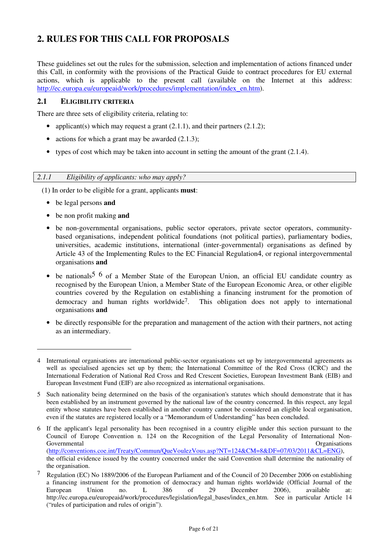## **2. RULES FOR THIS CALL FOR PROPOSALS**

These guidelines set out the rules for the submission, selection and implementation of actions financed under this Call, in conformity with the provisions of the Practical Guide to contract procedures for EU external actions, which is applicable to the present call (available on the Internet at this address: http://ec.europa.eu/europeaid/work/procedures/implementation/index\_en.htm).

### **2.1 ELIGIBILITY CRITERIA**

There are three sets of eligibility criteria, relating to:

- applicant(s) which may request a grant  $(2.1.1)$ , and their partners  $(2.1.2)$ ;
- actions for which a grant may be awarded  $(2.1.3)$ ;
- types of cost which may be taken into account in setting the amount of the grant  $(2.1.4)$ .

#### *2.1.1 Eligibility of applicants: who may apply?*

(1) In order to be eligible for a grant, applicants **must**:

• be legal persons **and** 

 $\overline{a}$ 

- be non profit making **and**
- be non-governmental organisations, public sector operators, private sector operators, communitybased organisations, independent political foundations (not political parties), parliamentary bodies, universities, academic institutions, international (inter-governmental) organisations as defined by Article 43 of the Implementing Rules to the EC Financial Regulation4, or regional intergovernmental organisations **and**
- be nationals<sup>5 6</sup> of a Member State of the European Union, an official EU candidate country as recognised by the European Union, a Member State of the European Economic Area, or other eligible countries covered by the Regulation on establishing a financing instrument for the promotion of democracy and human rights worldwide<sup>7</sup>. This obligation does not apply to international organisations **and**
- be directly responsible for the preparation and management of the action with their partners, not acting as an intermediary.

<sup>4</sup> International organisations are international public-sector organisations set up by intergovernmental agreements as well as specialised agencies set up by them; the International Committee of the Red Cross (ICRC) and the International Federation of National Red Cross and Red Crescent Societies, European Investment Bank (EIB) and European Investment Fund (EIF) are also recognized as international organisations.

<sup>5</sup> Such nationality being determined on the basis of the organisation's statutes which should demonstrate that it has been established by an instrument governed by the national law of the country concerned. In this respect, any legal entity whose statutes have been established in another country cannot be considered an eligible local organisation, even if the statutes are registered locally or a "Memorandum of Understanding" has been concluded.

<sup>6</sup> If the applicant's legal personality has been recognised in a country eligible under this section pursuant to the Council of Europe Convention n. 124 on the Recognition of the Legal Personality of International Non-Governmental **Organisations Constanting Constanting Constanting Constanting Constanting Constanting Constanting Constanting Constanting Constanting Constanting Constanting Constanting Constanting Constanting Constanting** (http://conventions.coe.int/Treaty/Commun/QueVoulezVous.asp?NT=124&CM=8&DF=07/03/2011&CL=ENG), the official evidence issued by the country concerned under the said Convention shall determine the nationality of the organisation.

<sup>&</sup>lt;sup>7</sup> Regulation (EC) No 1889/2006 of the European Parliament and of the Council of 20 December 2006 on establishing a financing instrument for the promotion of democracy and human rights worldwide (Official Journal of the European Union no. L 386 of 29 December 2006), available at: http://ec.europa.eu/europeaid/work/procedures/legislation/legal\_bases/index\_en.htm. See in particular Article 14 ("rules of participation and rules of origin").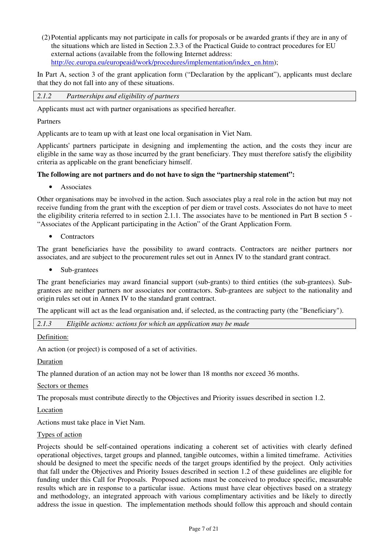(2) Potential applicants may not participate in calls for proposals or be awarded grants if they are in any of the situations which are listed in Section 2.3.3 of the Practical Guide to contract procedures for EU external actions (available from the following Internet address: http://ec.europa.eu/europeaid/work/procedures/implementation/index\_en.htm);

In Part A, section 3 of the grant application form ("Declaration by the applicant"), applicants must declare that they do not fall into any of these situations.

*2.1.2 Partnerships and eligibility of partners* 

Applicants must act with partner organisations as specified hereafter.

Partners

Applicants are to team up with at least one local organisation in Viet Nam.

Applicants' partners participate in designing and implementing the action, and the costs they incur are eligible in the same way as those incurred by the grant beneficiary. They must therefore satisfy the eligibility criteria as applicable on the grant beneficiary himself.

#### **The following are not partners and do not have to sign the "partnership statement":**

• Associates

Other organisations may be involved in the action. Such associates play a real role in the action but may not receive funding from the grant with the exception of per diem or travel costs. Associates do not have to meet the eligibility criteria referred to in section 2.1.1. The associates have to be mentioned in Part B section 5 - "Associates of the Applicant participating in the Action" of the Grant Application Form.

• Contractors

The grant beneficiaries have the possibility to award contracts. Contractors are neither partners nor associates, and are subject to the procurement rules set out in Annex IV to the standard grant contract.

• Sub-grantees

The grant beneficiaries may award financial support (sub-grants) to third entities (the sub-grantees). Subgrantees are neither partners nor associates nor contractors. Sub-grantees are subject to the nationality and origin rules set out in Annex IV to the standard grant contract.

The applicant will act as the lead organisation and, if selected, as the contracting party (the "Beneficiary").

*2.1.3 Eligible actions: actions for which an application may be made* 

Definition:

An action (or project) is composed of a set of activities.

Duration

The planned duration of an action may not be lower than 18 months nor exceed 36 months.

Sectors or themes

The proposals must contribute directly to the Objectives and Priority issues described in section 1.2.

Location

Actions must take place in Viet Nam.

#### Types of action

Projects should be self-contained operations indicating a coherent set of activities with clearly defined operational objectives, target groups and planned, tangible outcomes, within a limited timeframe. Activities should be designed to meet the specific needs of the target groups identified by the project. Only activities that fall under the Objectives and Priority Issues described in section 1.2 of these guidelines are eligible for funding under this Call for Proposals. Proposed actions must be conceived to produce specific, measurable results which are in response to a particular issue. Actions must have clear objectives based on a strategy and methodology, an integrated approach with various complimentary activities and be likely to directly address the issue in question. The implementation methods should follow this approach and should contain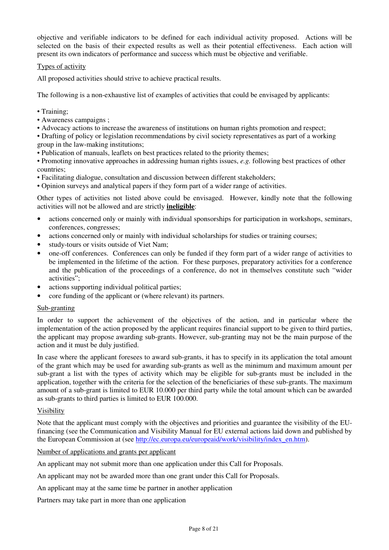objective and verifiable indicators to be defined for each individual activity proposed. Actions will be selected on the basis of their expected results as well as their potential effectiveness. Each action will present its own indicators of performance and success which must be objective and verifiable.

#### Types of activity

All proposed activities should strive to achieve practical results.

The following is a non-exhaustive list of examples of activities that could be envisaged by applicants:

- Training;
- Awareness campaigns ;
- Advocacy actions to increase the awareness of institutions on human rights promotion and respect;
- Drafting of policy or legislation recommendations by civil society representatives as part of a working group in the law-making institutions;
- Publication of manuals, leaflets on best practices related to the priority themes;
- Promoting innovative approaches in addressing human rights issues, *e.g.* following best practices of other countries;
- Facilitating dialogue, consultation and discussion between different stakeholders;
- Opinion surveys and analytical papers if they form part of a wider range of activities.

Other types of activities not listed above could be envisaged. However, kindly note that the following activities will not be allowed and are strictly **ineligible**:

- actions concerned only or mainly with individual sponsorships for participation in workshops, seminars, conferences, congresses;
- actions concerned only or mainly with individual scholarships for studies or training courses;
- study-tours or visits outside of Viet Nam;
- one-off conferences. Conferences can only be funded if they form part of a wider range of activities to be implemented in the lifetime of the action. For these purposes, preparatory activities for a conference and the publication of the proceedings of a conference, do not in themselves constitute such "wider activities";
- actions supporting individual political parties;
- core funding of the applicant or (where relevant) its partners.

#### Sub-granting

In order to support the achievement of the objectives of the action, and in particular where the implementation of the action proposed by the applicant requires financial support to be given to third parties, the applicant may propose awarding sub-grants. However, sub-granting may not be the main purpose of the action and it must be duly justified.

In case where the applicant foresees to award sub-grants, it has to specify in its application the total amount of the grant which may be used for awarding sub-grants as well as the minimum and maximum amount per sub-grant a list with the types of activity which may be eligible for sub-grants must be included in the application, together with the criteria for the selection of the beneficiaries of these sub-grants. The maximum amount of a sub-grant is limited to EUR 10.000 per third party while the total amount which can be awarded as sub-grants to third parties is limited to EUR 100.000.

#### Visibility

Note that the applicant must comply with the objectives and priorities and guarantee the visibility of the EUfinancing (see the Communication and Visibility Manual for EU external actions laid down and published by the European Commission at (see http://ec.europa.eu/europeaid/work/visibility/index\_en.htm).

Number of applications and grants per applicant

An applicant may not submit more than one application under this Call for Proposals.

An applicant may not be awarded more than one grant under this Call for Proposals.

An applicant may at the same time be partner in another application

Partners may take part in more than one application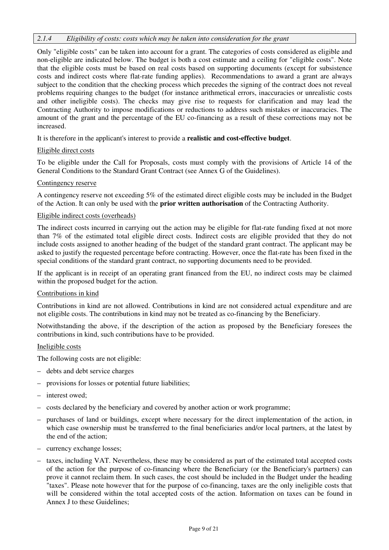#### *2.1.4 Eligibility of costs: costs which may be taken into consideration for the grant*

Only "eligible costs" can be taken into account for a grant. The categories of costs considered as eligible and non-eligible are indicated below. The budget is both a cost estimate and a ceiling for "eligible costs". Note that the eligible costs must be based on real costs based on supporting documents (except for subsistence costs and indirect costs where flat-rate funding applies). Recommendations to award a grant are always subject to the condition that the checking process which precedes the signing of the contract does not reveal problems requiring changes to the budget (for instance arithmetical errors, inaccuracies or unrealistic costs and other ineligible costs). The checks may give rise to requests for clarification and may lead the Contracting Authority to impose modifications or reductions to address such mistakes or inaccuracies. The amount of the grant and the percentage of the EU co-financing as a result of these corrections may not be increased.

It is therefore in the applicant's interest to provide a **realistic and cost-effective budget**.

#### Eligible direct costs

To be eligible under the Call for Proposals, costs must comply with the provisions of Article 14 of the General Conditions to the Standard Grant Contract (see Annex G of the Guidelines).

#### Contingency reserve

A contingency reserve not exceeding 5% of the estimated direct eligible costs may be included in the Budget of the Action. It can only be used with the **prior written authorisation** of the Contracting Authority.

#### Eligible indirect costs (overheads)

The indirect costs incurred in carrying out the action may be eligible for flat-rate funding fixed at not more than 7% of the estimated total eligible direct costs. Indirect costs are eligible provided that they do not include costs assigned to another heading of the budget of the standard grant contract. The applicant may be asked to justify the requested percentage before contracting. However, once the flat-rate has been fixed in the special conditions of the standard grant contract, no supporting documents need to be provided.

If the applicant is in receipt of an operating grant financed from the EU, no indirect costs may be claimed within the proposed budget for the action.

#### Contributions in kind

Contributions in kind are not allowed. Contributions in kind are not considered actual expenditure and are not eligible costs. The contributions in kind may not be treated as co-financing by the Beneficiary.

Notwithstanding the above, if the description of the action as proposed by the Beneficiary foresees the contributions in kind, such contributions have to be provided.

#### Ineligible costs

The following costs are not eligible:

- debts and debt service charges
- provisions for losses or potential future liabilities;
- interest owed;
- costs declared by the beneficiary and covered by another action or work programme;
- purchases of land or buildings, except where necessary for the direct implementation of the action, in which case ownership must be transferred to the final beneficiaries and/or local partners, at the latest by the end of the action;
- currency exchange losses;
- taxes, including VAT. Nevertheless, these may be considered as part of the estimated total accepted costs of the action for the purpose of co-financing where the Beneficiary (or the Beneficiary's partners) can prove it cannot reclaim them. In such cases, the cost should be included in the Budget under the heading "taxes". Please note however that for the purpose of co-financing, taxes are the only ineligible costs that will be considered within the total accepted costs of the action. Information on taxes can be found in Annex J to these Guidelines;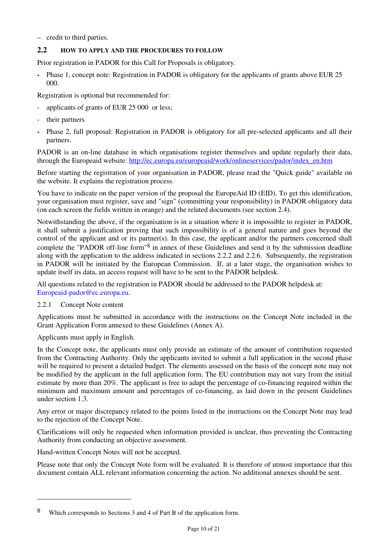– credit to third parties.

## **2.2 HOW TO APPLY AND THE PROCEDURES TO FOLLOW**

Prior registration in PADOR for this Call for Proposals is obligatory.

**-** Phase 1, concept note: Registration in PADOR is obligatory for the applicants of grants above EUR 25 000.

Registration is optional but recommended for:

- applicants of grants of EUR 25 000 or less;
- their partners
- Phase 2, full proposal: Registration in PADOR is obligatory for all pre-selected applicants and all their partners.

PADOR is an on-line database in which organisations register themselves and update regularly their data, through the Europeaid website: http://ec.europa.eu/europeaid/work/onlineservices/pador/index\_en.htm

Before starting the registration of your organisation in PADOR, please read the "Quick guide" available on the website. It explains the registration process.

You have to indicate on the paper version of the proposal the EuropeAid ID (EID). To get this identification, your organisation must register, save and "sign" (committing your responsibility) in PADOR obligatory data (on each screen the fields written in orange) and the related documents (see section 2.4).

Notwithstanding the above, if the organisation is in a situation where it is impossible to register in PADOR, it shall submit a justification proving that such impossibility is of a general nature and goes beyond the control of the applicant and or its partner(s). In this case, the applicant and/or the partners concerned shall complete the "PADOR off-line form"8 in annex of these Guidelines and send it by the submission deadline along with the application to the address indicated in sections 2.2.2 and 2.2.6. Subsequently, the registration in PADOR will be initiated by the European Commission. If, at a later stage, the organisation wishes to update itself its data, an access request will have to be sent to the PADOR helpdesk.

All questions related to the registration in PADOR should be addressed to the PADOR helpdesk at: Europeaid-pador@ec.europa.eu.

## 2.2.1 Concept Note content

Applications must be submitted in accordance with the instructions on the Concept Note included in the Grant Application Form annexed to these Guidelines (Annex A).

Applicants must apply in English.

 $\overline{a}$ 

In the Concept note, the applicants must only provide an estimate of the amount of contribution requested from the Contracting Authority. Only the applicants invited to submit a full application in the second phase will be required to present a detailed budget. The elements assessed on the basis of the concept note may not be modified by the applicant in the full application form. The EU contribution may not vary from the initial estimate by more than 20%. The applicant is free to adapt the percentage of co-financing required within the minimum and maximum amount and percentages of co-financing, as laid down in the present Guidelines under section 1.3.

Any error or major discrepancy related to the points listed in the instructions on the Concept Note may lead to the rejection of the Concept Note.

Clarifications will only be requested when information provided is unclear, thus preventing the Contracting Authority from conducting an objective assessment.

Hand-written Concept Notes will not be accepted.

Please note that only the Concept Note form will be evaluated. It is therefore of utmost importance that this document contain ALL relevant information concerning the action. No additional annexes should be sent.

<sup>8</sup> Which corresponds to Sections 3 and 4 of Part B of the application form.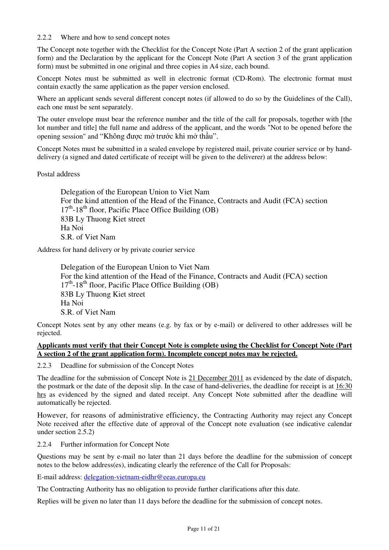#### 2.2.2 Where and how to send concept notes

The Concept note together with the Checklist for the Concept Note (Part A section 2 of the grant application form) and the Declaration by the applicant for the Concept Note (Part A section 3 of the grant application form) must be submitted in one original and three copies in A4 size, each bound.

Concept Notes must be submitted as well in electronic format (CD-Rom). The electronic format must contain exactly the same application as the paper version enclosed.

Where an applicant sends several different concept notes (if allowed to do so by the Guidelines of the Call), each one must be sent separately.

The outer envelope must bear the reference number and the title of the call for proposals, together with [the lot number and title] the full name and address of the applicant, and the words "Not to be opened before the opening session" and "Không được mở trước khi mở thầu".

Concept Notes must be submitted in a sealed envelope by registered mail, private courier service or by handdelivery (a signed and dated certificate of receipt will be given to the deliverer) at the address below:

#### Postal address

Delegation of the European Union to Viet Nam For the kind attention of the Head of the Finance, Contracts and Audit (FCA) section  $17<sup>th</sup>$ -18<sup>th</sup> floor, Pacific Place Office Building (OB) 83B Ly Thuong Kiet street Ha Noi S.R. of Viet Nam

Address for hand delivery or by private courier service

Delegation of the European Union to Viet Nam For the kind attention of the Head of the Finance, Contracts and Audit (FCA) section  $17<sup>th</sup>$ -18<sup>th</sup> floor, Pacific Place Office Building (OB) 83B Ly Thuong Kiet street Ha Noi S.R. of Viet Nam

Concept Notes sent by any other means (e.g. by fax or by e-mail) or delivered to other addresses will be rejected.

#### **Applicants must verify that their Concept Note is complete using the Checklist for Concept Note (Part A section 2 of the grant application form). Incomplete concept notes may be rejected.**

2.2.3 Deadline for submission of the Concept Notes

The deadline for the submission of Concept Note is 21 December 2011 as evidenced by the date of dispatch, the postmark or the date of the deposit slip. In the case of hand-deliveries, the deadline for receipt is at 16:30 hrs as evidenced by the signed and dated receipt. Any Concept Note submitted after the deadline will automatically be rejected.

However, for reasons of administrative efficiency, the Contracting Authority may reject any Concept Note received after the effective date of approval of the Concept note evaluation (see indicative calendar under section 2.5.2)

2.2.4 Further information for Concept Note

Questions may be sent by e-mail no later than 21 days before the deadline for the submission of concept notes to the below address(es), indicating clearly the reference of the Call for Proposals:

E-mail address: delegation-vietnam-eidhr@eeas.europa.eu

The Contracting Authority has no obligation to provide further clarifications after this date.

Replies will be given no later than 11 days before the deadline for the submission of concept notes.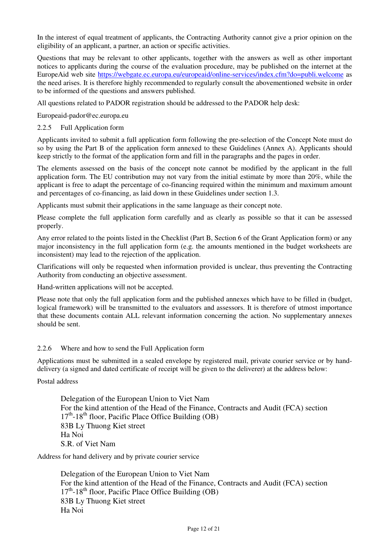In the interest of equal treatment of applicants, the Contracting Authority cannot give a prior opinion on the eligibility of an applicant, a partner, an action or specific activities.

Questions that may be relevant to other applicants, together with the answers as well as other important notices to applicants during the course of the evaluation procedure, may be published on the internet at the EuropeAid web site https://webgate.ec.europa.eu/europeaid/online-services/index.cfm?do=publi.welcome as the need arises. It is therefore highly recommended to regularly consult the abovementioned website in order to be informed of the questions and answers published.

All questions related to PADOR registration should be addressed to the PADOR help desk:

Europeaid-pador@ec.europa.eu

#### 2.2.5 Full Application form

Applicants invited to submit a full application form following the pre-selection of the Concept Note must do so by using the Part B of the application form annexed to these Guidelines (Annex A). Applicants should keep strictly to the format of the application form and fill in the paragraphs and the pages in order.

The elements assessed on the basis of the concept note cannot be modified by the applicant in the full application form. The EU contribution may not vary from the initial estimate by more than 20%, while the applicant is free to adapt the percentage of co-financing required within the minimum and maximum amount and percentages of co-financing, as laid down in these Guidelines under section 1.3.

Applicants must submit their applications in the same language as their concept note.

Please complete the full application form carefully and as clearly as possible so that it can be assessed properly.

Any error related to the points listed in the Checklist (Part B, Section 6 of the Grant Application form) or any major inconsistency in the full application form (e.g. the amounts mentioned in the budget worksheets are inconsistent) may lead to the rejection of the application.

Clarifications will only be requested when information provided is unclear, thus preventing the Contracting Authority from conducting an objective assessment.

Hand-written applications will not be accepted.

Please note that only the full application form and the published annexes which have to be filled in (budget, logical framework) will be transmitted to the evaluators and assessors. It is therefore of utmost importance that these documents contain ALL relevant information concerning the action. No supplementary annexes should be sent.

#### 2.2.6 Where and how to send the Full Application form

Applications must be submitted in a sealed envelope by registered mail, private courier service or by handdelivery (a signed and dated certificate of receipt will be given to the deliverer) at the address below:

Postal address

Delegation of the European Union to Viet Nam For the kind attention of the Head of the Finance, Contracts and Audit (FCA) section  $17<sup>th</sup>$ -18<sup>th</sup> floor, Pacific Place Office Building (OB) 83B Ly Thuong Kiet street Ha Noi S.R. of Viet Nam

Address for hand delivery and by private courier service

Delegation of the European Union to Viet Nam For the kind attention of the Head of the Finance, Contracts and Audit (FCA) section  $17<sup>th</sup>$ -18<sup>th</sup> floor, Pacific Place Office Building (OB) 83B Ly Thuong Kiet street Ha Noi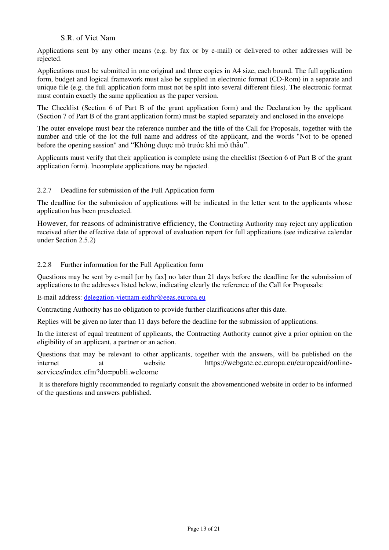### S.R. of Viet Nam

Applications sent by any other means (e.g. by fax or by e-mail) or delivered to other addresses will be rejected.

Applications must be submitted in one original and three copies in A4 size, each bound. The full application form, budget and logical framework must also be supplied in electronic format (CD-Rom) in a separate and unique file (e.g. the full application form must not be split into several different files). The electronic format must contain exactly the same application as the paper version.

The Checklist (Section 6 of Part B of the grant application form) and the Declaration by the applicant (Section 7 of Part B of the grant application form) must be stapled separately and enclosed in the envelope

The outer envelope must bear the reference number and the title of the Call for Proposals, together with the number and title of the lot the full name and address of the applicant, and the words "Not to be opened before the opening session" and "Không được mở trước khi mở thầu".

Applicants must verify that their application is complete using the checklist (Section 6 of Part B of the grant application form). Incomplete applications may be rejected.

#### 2.2.7 Deadline for submission of the Full Application form

The deadline for the submission of applications will be indicated in the letter sent to the applicants whose application has been preselected.

However, for reasons of administrative efficiency, the Contracting Authority may reject any application received after the effective date of approval of evaluation report for full applications (see indicative calendar under Section 2.5.2)

#### 2.2.8 Further information for the Full Application form

Questions may be sent by e-mail [or by fax] no later than 21 days before the deadline for the submission of applications to the addresses listed below, indicating clearly the reference of the Call for Proposals:

E-mail address: delegation-vietnam-eidhr@eeas.europa.eu

Contracting Authority has no obligation to provide further clarifications after this date.

Replies will be given no later than 11 days before the deadline for the submission of applications.

In the interest of equal treatment of applicants, the Contracting Authority cannot give a prior opinion on the eligibility of an applicant, a partner or an action.

Questions that may be relevant to other applicants, together with the answers, will be published on the internet at website https://webgate.ec.europa.eu/europeaid/onlineservices/index.cfm?do=publi.welcome

 It is therefore highly recommended to regularly consult the abovementioned website in order to be informed of the questions and answers published.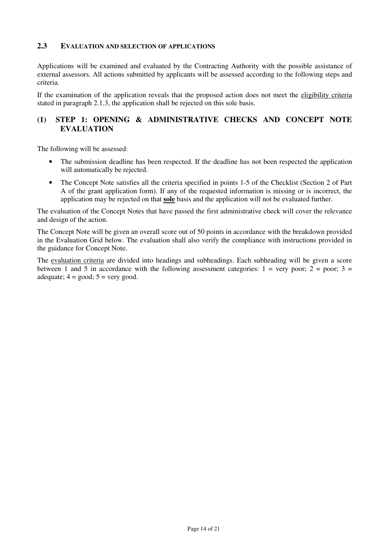#### **2.3 EVALUATION AND SELECTION OF APPLICATIONS**

Applications will be examined and evaluated by the Contracting Authority with the possible assistance of external assessors. All actions submitted by applicants will be assessed according to the following steps and criteria.

If the examination of the application reveals that the proposed action does not meet the eligibility criteria stated in paragraph 2.1.3, the application shall be rejected on this sole basis.

## **(1) STEP 1: OPENING & ADMINISTRATIVE CHECKS AND CONCEPT NOTE EVALUATION**

The following will be assessed:

- The submission deadline has been respected. If the deadline has not been respected the application will automatically be rejected.
- The Concept Note satisfies all the criteria specified in points 1-5 of the Checklist (Section 2 of Part A of the grant application form). If any of the requested information is missing or is incorrect, the application may be rejected on that **sole** basis and the application will not be evaluated further.

The evaluation of the Concept Notes that have passed the first administrative check will cover the relevance and design of the action.

The Concept Note will be given an overall score out of 50 points in accordance with the breakdown provided in the Evaluation Grid below. The evaluation shall also verify the compliance with instructions provided in the guidance for Concept Note.

The evaluation criteria are divided into headings and subheadings. Each subheading will be given a score between 1 and 5 in accordance with the following assessment categories:  $1 = \text{very poor}; 2 = \text{poor}; 3 =$ adequate;  $4 = \text{good}$ ;  $5 = \text{very good}$ .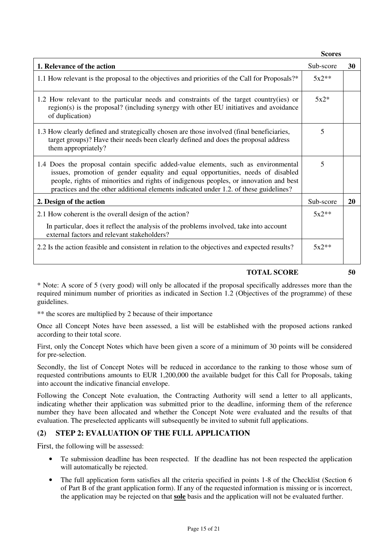**Scores** 

| 1. Relevance of the action                                                                                                                                                                                                                                                                                                                              | Sub-score | 30        |
|---------------------------------------------------------------------------------------------------------------------------------------------------------------------------------------------------------------------------------------------------------------------------------------------------------------------------------------------------------|-----------|-----------|
| 1.1 How relevant is the proposal to the objectives and priorities of the Call for Proposals?*                                                                                                                                                                                                                                                           | $5x2**$   |           |
| 1.2 How relevant to the particular needs and constraints of the target country(ies) or<br>region(s) is the proposal? (including synergy with other EU initiatives and avoidance<br>of duplication)                                                                                                                                                      | $5x2*$    |           |
| 1.3 How clearly defined and strategically chosen are those involved (final beneficiaries,<br>target groups)? Have their needs been clearly defined and does the proposal address<br>them appropriately?                                                                                                                                                 | 5         |           |
| 1.4 Does the proposal contain specific added-value elements, such as environmental<br>issues, promotion of gender equality and equal opportunities, needs of disabled<br>people, rights of minorities and rights of indigenous peoples, or innovation and best<br>practices and the other additional elements indicated under 1.2. of these guidelines? | 5         |           |
| 2. Design of the action                                                                                                                                                                                                                                                                                                                                 | Sub-score | <b>20</b> |
| 2.1 How coherent is the overall design of the action?                                                                                                                                                                                                                                                                                                   | $5x2**$   |           |
| In particular, does it reflect the analysis of the problems involved, take into account<br>external factors and relevant stakeholders?                                                                                                                                                                                                                  |           |           |
| 2.2 Is the action feasible and consistent in relation to the objectives and expected results?                                                                                                                                                                                                                                                           | $5x2**$   |           |

### **TOTAL SCORE 50**

\* Note: A score of 5 (very good) will only be allocated if the proposal specifically addresses more than the required minimum number of priorities as indicated in Section 1.2 (Objectives of the programme) of these guidelines.

\*\* the scores are multiplied by 2 because of their importance

Once all Concept Notes have been assessed, a list will be established with the proposed actions ranked according to their total score.

First, only the Concept Notes which have been given a score of a minimum of 30 points will be considered for pre-selection.

Secondly, the list of Concept Notes will be reduced in accordance to the ranking to those whose sum of requested contributions amounts to EUR 1,200,000 the available budget for this Call for Proposals, taking into account the indicative financial envelope.

Following the Concept Note evaluation, the Contracting Authority will send a letter to all applicants, indicating whether their application was submitted prior to the deadline, informing them of the reference number they have been allocated and whether the Concept Note were evaluated and the results of that evaluation. The preselected applicants will subsequently be invited to submit full applications.

## **(2) STEP 2: EVALUATION OF THE FULL APPLICATION**

First, the following will be assessed:

- Te submission deadline has been respected. If the deadline has not been respected the application will automatically be rejected.
- The full application form satisfies all the criteria specified in points 1-8 of the Checklist (Section 6 of Part B of the grant application form). If any of the requested information is missing or is incorrect, the application may be rejected on that **sole** basis and the application will not be evaluated further.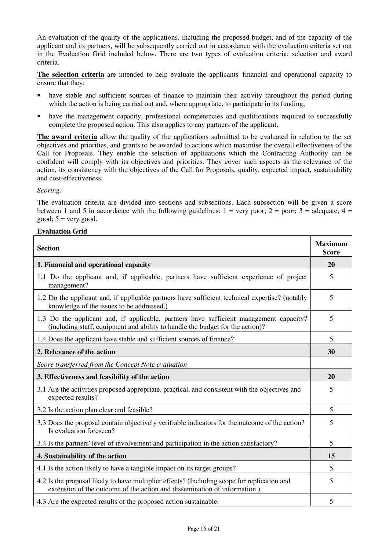An evaluation of the quality of the applications, including the proposed budget, and of the capacity of the applicant and its partners, will be subsequently carried out in accordance with the evaluation criteria set out in the Evaluation Grid included below. There are two types of evaluation criteria: selection and award criteria.

**The selection criteria** are intended to help evaluate the applicants' financial and operational capacity to ensure that they:

- have stable and sufficient sources of finance to maintain their activity throughout the period during which the action is being carried out and, where appropriate, to participate in its funding;
- have the management capacity, professional competencies and qualifications required to successfully complete the proposed action. This also applies to any partners of the applicant.

**The award criteria** allow the quality of the applications submitted to be evaluated in relation to the set objectives and priorities, and grants to be awarded to actions which maximise the overall effectiveness of the Call for Proposals. They enable the selection of applications which the Contracting Authority can be confident will comply with its objectives and priorities. They cover such aspects as the relevance of the action, its consistency with the objectives of the Call for Proposals, quality, expected impact, sustainability and cost-effectiveness.

#### *Scoring:*

The evaluation criteria are divided into sections and subsections. Each subsection will be given a score between 1 and 5 in accordance with the following guidelines:  $1 = \text{very poor}$ ;  $2 = \text{poor}$ ;  $3 = \text{adequate}$ ;  $4 = \text{ceque}$ good;  $5 = \text{very good.}$ 

#### **Evaluation Grid**

| <b>Section</b>                                                                                                                                                           |   |  |
|--------------------------------------------------------------------------------------------------------------------------------------------------------------------------|---|--|
| 1. Financial and operational capacity                                                                                                                                    |   |  |
| 1.1 Do the applicant and, if applicable, partners have sufficient experience of project<br>management?                                                                   | 5 |  |
| 1.2 Do the applicant and, if applicable partners have sufficient technical expertise? (notably<br>knowledge of the issues to be addressed.)                              |   |  |
| 1.3 Do the applicant and, if applicable, partners have sufficient management capacity?<br>(including staff, equipment and ability to handle the budget for the action)?  |   |  |
| 1.4 Does the applicant have stable and sufficient sources of finance?                                                                                                    | 5 |  |
| 2. Relevance of the action                                                                                                                                               |   |  |
| Score transferred from the Concept Note evaluation                                                                                                                       |   |  |
| 3. Effectiveness and feasibility of the action                                                                                                                           |   |  |
| 3.1 Are the activities proposed appropriate, practical, and consistent with the objectives and<br>expected results?                                                      | 5 |  |
| 3.2 Is the action plan clear and feasible?                                                                                                                               | 5 |  |
| 3.3 Does the proposal contain objectively verifiable indicators for the outcome of the action?<br>Is evaluation foreseen?                                                |   |  |
| 3.4 Is the partners' level of involvement and participation in the action satisfactory?                                                                                  | 5 |  |
| 4. Sustainability of the action                                                                                                                                          |   |  |
| 4.1 Is the action likely to have a tangible impact on its target groups?                                                                                                 | 5 |  |
| 4.2 Is the proposal likely to have multiplier effects? (Including scope for replication and<br>extension of the outcome of the action and dissemination of information.) |   |  |
| 4.3 Are the expected results of the proposed action sustainable:                                                                                                         | 5 |  |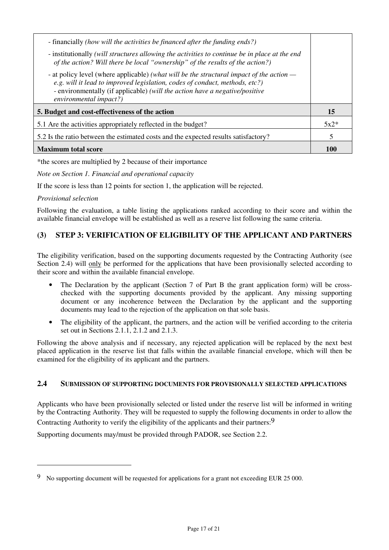| - financially (how will the activities be financed after the funding ends?)<br>- institutionally (will structures allowing the activities to continue be in place at the end<br>of the action? Will there be local "ownership" of the results of the action?)                    |        |  |
|----------------------------------------------------------------------------------------------------------------------------------------------------------------------------------------------------------------------------------------------------------------------------------|--------|--|
| - at policy level (where applicable) (what will be the structural impact of the action —<br>e.g. will it lead to improved legislation, codes of conduct, methods, etc?)<br>- environmentally (if applicable) (will the action have a negative/positive<br>environmental impact?) |        |  |
| 5. Budget and cost-effectiveness of the action                                                                                                                                                                                                                                   |        |  |
| 5.1 Are the activities appropriately reflected in the budget?                                                                                                                                                                                                                    | $5x2*$ |  |
| 5.2 Is the ratio between the estimated costs and the expected results satisfactory?                                                                                                                                                                                              |        |  |
| <b>Maximum total score</b>                                                                                                                                                                                                                                                       |        |  |

\*the scores are multiplied by 2 because of their importance

*Note on Section 1. Financial and operational capacity* 

If the score is less than 12 points for section 1, the application will be rejected.

#### *Provisional selection*

 $\overline{a}$ 

Following the evaluation, a table listing the applications ranked according to their score and within the available financial envelope will be established as well as a reserve list following the same criteria.

## **(3) STEP 3: VERIFICATION OF ELIGIBILITY OF THE APPLICANT AND PARTNERS**

The eligibility verification, based on the supporting documents requested by the Contracting Authority (see Section 2.4) will only be performed for the applications that have been provisionally selected according to their score and within the available financial envelope.

- The Declaration by the applicant (Section 7 of Part B the grant application form) will be crosschecked with the supporting documents provided by the applicant. Any missing supporting document or any incoherence between the Declaration by the applicant and the supporting documents may lead to the rejection of the application on that sole basis.
- The eligibility of the applicant, the partners, and the action will be verified according to the criteria set out in Sections 2.1.1, 2.1.2 and 2.1.3.

Following the above analysis and if necessary, any rejected application will be replaced by the next best placed application in the reserve list that falls within the available financial envelope, which will then be examined for the eligibility of its applicant and the partners.

## **2.4 SUBMISSION OF SUPPORTING DOCUMENTS FOR PROVISIONALLY SELECTED APPLICATIONS**

Applicants who have been provisionally selected or listed under the reserve list will be informed in writing by the Contracting Authority. They will be requested to supply the following documents in order to allow the Contracting Authority to verify the eligibility of the applicants and their partners:  $9$ 

Supporting documents may/must be provided through PADOR, see Section 2.2.

<sup>9</sup> No supporting document will be requested for applications for a grant not exceeding EUR 25 000.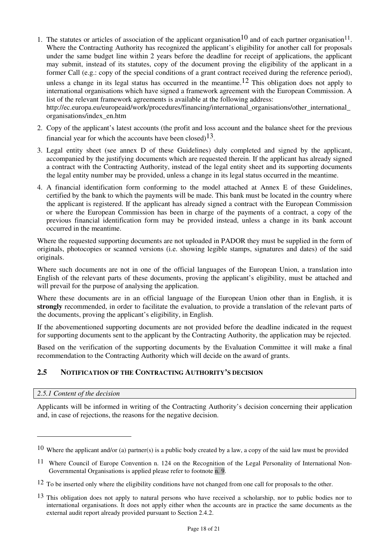- 1. The statutes or articles of association of the applicant organisation<sup>10</sup> and of each partner organisation<sup>11</sup>. Where the Contracting Authority has recognized the applicant's eligibility for another call for proposals under the same budget line within 2 years before the deadline for receipt of applications, the applicant may submit, instead of its statutes, copy of the document proving the eligibility of the applicant in a former Call (e.g.: copy of the special conditions of a grant contract received during the reference period), unless a change in its legal status has occurred in the meantime.<sup>12</sup> This obligation does not apply to international organisations which have signed a framework agreement with the European Commission. A list of the relevant framework agreements is available at the following address: http://ec.europa.eu/europeaid/work/procedures/financing/international\_organisations/other\_international organisations/index\_en.htm
- 2. Copy of the applicant's latest accounts (the profit and loss account and the balance sheet for the previous financial year for which the accounts have been closed)<sup>13</sup>.
- 3. Legal entity sheet (see annex D of these Guidelines) duly completed and signed by the applicant, accompanied by the justifying documents which are requested therein. If the applicant has already signed a contract with the Contracting Authority, instead of the legal entity sheet and its supporting documents the legal entity number may be provided, unless a change in its legal status occurred in the meantime.
- 4. A financial identification form conforming to the model attached at Annex E of these Guidelines, certified by the bank to which the payments will be made. This bank must be located in the country where the applicant is registered. If the applicant has already signed a contract with the European Commission or where the European Commission has been in charge of the payments of a contract, a copy of the previous financial identification form may be provided instead, unless a change in its bank account occurred in the meantime.

Where the requested supporting documents are not uploaded in PADOR they must be supplied in the form of originals, photocopies or scanned versions (i.e. showing legible stamps, signatures and dates) of the said originals.

Where such documents are not in one of the official languages of the European Union, a translation into English of the relevant parts of these documents, proving the applicant's eligibility, must be attached and will prevail for the purpose of analysing the application.

Where these documents are in an official language of the European Union other than in English, it is **strongly** recommended, in order to facilitate the evaluation, to provide a translation of the relevant parts of the documents, proving the applicant's eligibility, in English.

If the abovementioned supporting documents are not provided before the deadline indicated in the request for supporting documents sent to the applicant by the Contracting Authority, the application may be rejected.

Based on the verification of the supporting documents by the Evaluation Committee it will make a final recommendation to the Contracting Authority which will decide on the award of grants.

## **2.5 NOTIFICATION OF THE CONTRACTING AUTHORITY'S DECISION**

#### *2.5.1 Content of the decision*

 $\overline{a}$ 

Applicants will be informed in writing of the Contracting Authority's decision concerning their application and, in case of rejections, the reasons for the negative decision.

<sup>&</sup>lt;sup>10</sup> Where the applicant and/or (a) partner(s) is a public body created by a law, a copy of the said law must be provided

<sup>11</sup> Where Council of Europe Convention n. 124 on the Recognition of the Legal Personality of International Non-Governmental Organisations is applied please refer to footnote n. 9.

<sup>&</sup>lt;sup>12</sup> To be inserted only where the eligibility conditions have not changed from one call for proposals to the other.

 $13$  This obligation does not apply to natural persons who have received a scholarship, nor to public bodies nor to international organisations. It does not apply either when the accounts are in practice the same documents as the external audit report already provided pursuant to Section 2.4.2.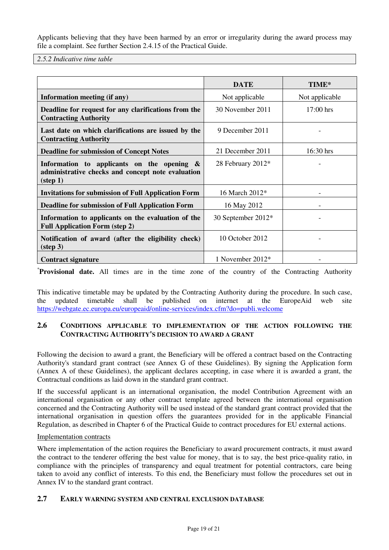Applicants believing that they have been harmed by an error or irregularity during the award process may file a complaint. See further Section 2.4.15 of the Practical Guide.

*2.5.2 Indicative time table* 

|                                                                                                                         | <b>DATE</b>        | TIME*          |
|-------------------------------------------------------------------------------------------------------------------------|--------------------|----------------|
| Information meeting (if any)                                                                                            | Not applicable     | Not applicable |
| Deadline for request for any clarifications from the<br><b>Contracting Authority</b>                                    | 30 November 2011   | 17:00 hrs      |
| Last date on which clarifications are issued by the<br><b>Contracting Authority</b>                                     | 9 December 2011    |                |
| <b>Deadline for submission of Concept Notes</b>                                                                         | 21 December 2011   | 16:30 hrs      |
| Information to applicants on the opening $\&$<br>administrative checks and concept note evaluation<br>$(\text{step 1})$ | 28 February 2012*  |                |
| <b>Invitations for submission of Full Application Form</b>                                                              | 16 March 2012*     |                |
| <b>Deadline for submission of Full Application Form</b>                                                                 | 16 May 2012        |                |
| Information to applicants on the evaluation of the<br><b>Full Application Form (step 2)</b>                             | 30 September 2012* |                |
| Notification of award (after the eligibility check)<br>$(\text{step } 3)$                                               | 10 October 2012    |                |
| <b>Contract signature</b>                                                                                               | 1 November $2012*$ |                |

\***Provisional date.** All times are in the time zone of the country of the Contracting Authority

This indicative timetable may be updated by the Contracting Authority during the procedure. In such case, the updated timetable shall be published on internet at the EuropeAid web site https://webgate.ec.europa.eu/europeaid/online-services/index.cfm?do=publi.welcome

## **2.6 CONDITIONS APPLICABLE TO IMPLEMENTATION OF THE ACTION FOLLOWING THE CONTRACTING AUTHORITY'S DECISION TO AWARD A GRANT**

Following the decision to award a grant, the Beneficiary will be offered a contract based on the Contracting Authority's standard grant contract (see Annex G of these Guidelines). By signing the Application form (Annex A of these Guidelines), the applicant declares accepting, in case where it is awarded a grant, the Contractual conditions as laid down in the standard grant contract.

If the successful applicant is an international organisation, the model Contribution Agreement with an international organisation or any other contract template agreed between the international organisation concerned and the Contracting Authority will be used instead of the standard grant contract provided that the international organisation in question offers the guarantees provided for in the applicable Financial Regulation, as described in Chapter 6 of the Practical Guide to contract procedures for EU external actions.

#### Implementation contracts

Where implementation of the action requires the Beneficiary to award procurement contracts, it must award the contract to the tenderer offering the best value for money, that is to say, the best price-quality ratio, in compliance with the principles of transparency and equal treatment for potential contractors, care being taken to avoid any conflict of interests. To this end, the Beneficiary must follow the procedures set out in Annex IV to the standard grant contract.

## **2.7 EARLY WARNING SYSTEM AND CENTRAL EXCLUSION DATABASE**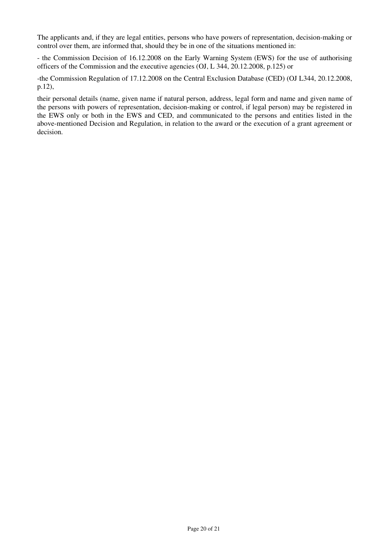The applicants and, if they are legal entities, persons who have powers of representation, decision-making or control over them, are informed that, should they be in one of the situations mentioned in:

- the Commission Decision of 16.12.2008 on the Early Warning System (EWS) for the use of authorising officers of the Commission and the executive agencies (OJ, L 344, 20.12.2008, p.125) or

-the Commission Regulation of 17.12.2008 on the Central Exclusion Database (CED) (OJ L344, 20.12.2008, p.12),

their personal details (name, given name if natural person, address, legal form and name and given name of the persons with powers of representation, decision-making or control, if legal person) may be registered in the EWS only or both in the EWS and CED, and communicated to the persons and entities listed in the above-mentioned Decision and Regulation, in relation to the award or the execution of a grant agreement or decision.